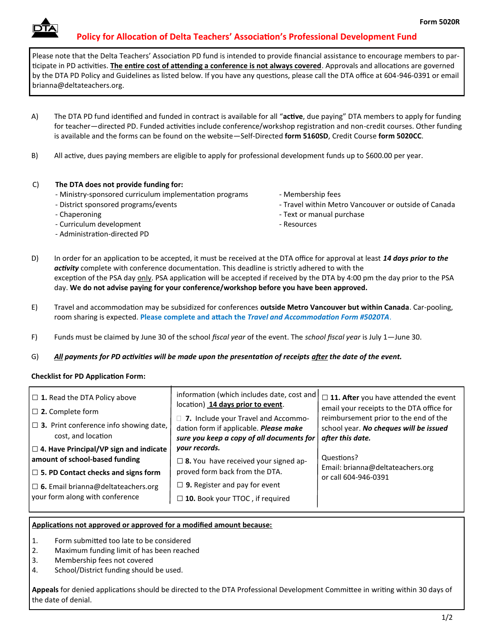## **Policy for Allocation of Delta Teachers' Association's Professional Development Fund**

Please note that the Delta Teachers' Association PD fund is intended to provide financial assistance to encourage members to participate in PD activities. **The entire cost of attending a conference is not always covered**. Approvals and allocations are governed by the DTA PD Policy and Guidelines as listed below. If you have any questions, please call the DTA office at 604-946-0391 or email brianna@deltateachers.org.

- A) The DTA PD fund identified and funded in contract is available for all "**active**, due paying" DTA members to apply for funding for teacher—directed PD. Funded activities include conference/workshop registration and non-credit courses. Other funding is available and the forms can be found on the website—Self-Directed **form 5160SD**, Credit Course **form 5020CC**.
- B) All active, dues paying members are eligible to apply for professional development funds up to \$600.00 per year.

### C) **The DTA does not provide funding for:**

- Ministry-sponsored curriculum implementation programs
- District sponsored programs/events
- Chaperoning
- Curriculum development
- Administration-directed PD
- Membership fees
- Travel within Metro Vancouver or outside of Canada
- Text or manual purchase
- Resources
- D) In order for an application to be accepted, it must be received at the DTA office for approval at least *14 days prior to the activity* complete with conference documentation. This deadline is strictly adhered to with the exception of the PSA day only. PSA application will be accepted if received by the DTA by 4:00 pm the day prior to the PSA day. **We do not advise paying for your conference/workshop before you have been approved.**
- E) Travel and accommodation may be subsidized for conferences **outside Metro Vancouver but within Canada**. Car-pooling, room sharing is expected. **Please complete and attach the** *Travel and Accommodation Form #5020TA*.
- F) Funds must be claimed by June 30 of the school *fiscal year* of the event. The *school fiscal year* is July 1—June 30.
- G) *All payments for PD activities will be made upon the presentation of receipts after the date of the event.*

### **Checklist for PD Application Form:**

| $\Box$ 1. Read the DTA Policy above<br>$\Box$ 2. Complete form<br>$\Box$ 3. Print conference info showing date,<br>cost, and location<br>$\Box$ 4. Have Principal/VP sign and indicate | information (which includes date, cost and<br>location) 14 days prior to event.<br>□ 7. Include your Travel and Accommo-<br>dation form if applicable. Please make<br>sure you keep a copy of all documents for<br>your records. | $\square$ 11. After you have attended the event<br>email your receipts to the DTA office for<br>reimbursement prior to the end of the<br>school year. No cheques will be issued<br>after this date. |  |
|----------------------------------------------------------------------------------------------------------------------------------------------------------------------------------------|----------------------------------------------------------------------------------------------------------------------------------------------------------------------------------------------------------------------------------|-----------------------------------------------------------------------------------------------------------------------------------------------------------------------------------------------------|--|
| amount of school-based funding<br>$\Box$ 5. PD Contact checks and signs form<br>$\Box$ 6. Email brianna@deltateachers.org<br>your form along with conference                           | $\square$ 8. You have received your signed ap-<br>proved form back from the DTA.<br>$\Box$ 9. Register and pay for event<br>$\Box$ 10. Book your TTOC, if required                                                               | Questions?<br>Email: brianna@deltateachers.org<br>or call 604-946-0391                                                                                                                              |  |

#### **Applications not approved or approved for a modified amount because:**

- 1. Form submitted too late to be considered
- 2. Maximum funding limit of has been reached
- 3. Membership fees not covered
- 4. School/District funding should be used.

**Appeals** for denied applications should be directed to the DTA Professional Development Committee in writing within 30 days of the date of denial.